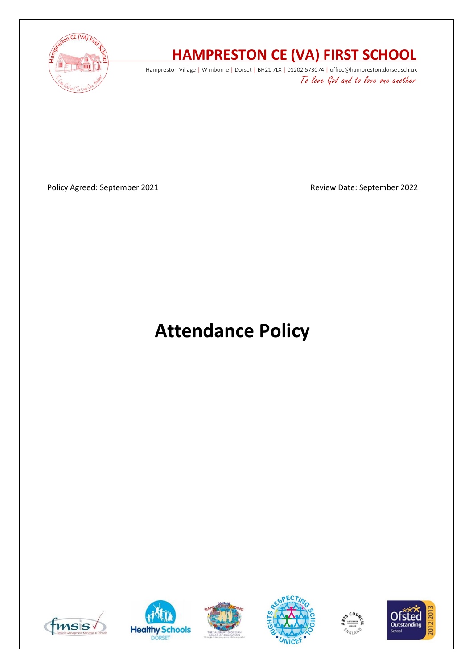

# **HAMPRESTON CE (VA) FIRST SCHOOL**

Hampreston Village | Wimborne | Dorset | BH21 7LX | 01202 573074 | office@hampreston.dorset.sch.uk To love God and to love one another

Policy Agreed: September 2021 and a september 2022

# **Attendance Policy**











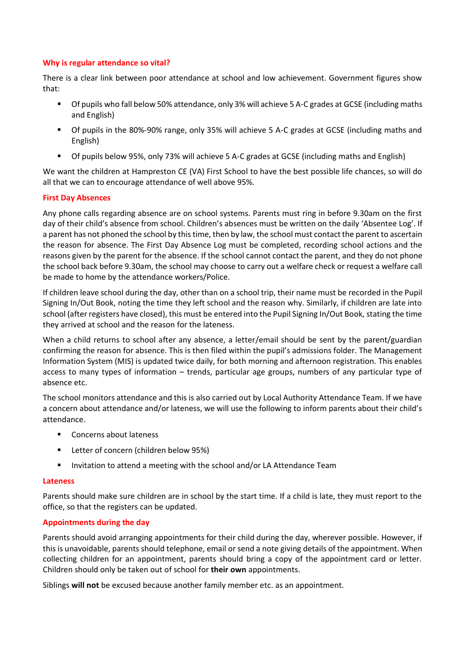### **Why is regular attendance so vital?**

There is a clear link between poor attendance at school and low achievement. Government figures show that:

- Of pupils who fall below 50% attendance, only 3% will achieve 5 A-C grades at GCSE (including maths and English)
- Of pupils in the 80%-90% range, only 35% will achieve 5 A-C grades at GCSE (including maths and English)
- Of pupils below 95%, only 73% will achieve 5 A-C grades at GCSE (including maths and English)

We want the children at Hampreston CE (VA) First School to have the best possible life chances, so will do all that we can to encourage attendance of well above 95%.

## **First Day Absences**

Any phone calls regarding absence are on school systems. Parents must ring in before 9.30am on the first day of their child's absence from school. Children's absences must be written on the daily 'Absentee Log'. If a parent has not phoned the school by this time, then by law, the school must contact the parent to ascertain the reason for absence. The First Day Absence Log must be completed, recording school actions and the reasons given by the parent for the absence. If the school cannot contact the parent, and they do not phone the school back before 9.30am, the school may choose to carry out a welfare check or request a welfare call be made to home by the attendance workers/Police.

If children leave school during the day, other than on a school trip, their name must be recorded in the Pupil Signing In/Out Book, noting the time they left school and the reason why. Similarly, if children are late into school (after registers have closed), this must be entered into the Pupil Signing In/Out Book, stating the time they arrived at school and the reason for the lateness.

When a child returns to school after any absence, a letter/email should be sent by the parent/guardian confirming the reason for absence. This is then filed within the pupil's admissions folder. The Management Information System (MIS) is updated twice daily, for both morning and afternoon registration. This enables access to many types of information – trends, particular age groups, numbers of any particular type of absence etc.

The school monitors attendance and this is also carried out by Local Authority Attendance Team. If we have a concern about attendance and/or lateness, we will use the following to inform parents about their child's attendance.

- Concerns about lateness
- Letter of concern (children below 95%)
- Invitation to attend a meeting with the school and/or LA Attendance Team

### **Lateness**

Parents should make sure children are in school by the start time. If a child is late, they must report to the office, so that the registers can be updated.

### **Appointments during the day**

Parents should avoid arranging appointments for their child during the day, wherever possible. However, if this is unavoidable, parents should telephone, email or send a note giving details of the appointment. When collecting children for an appointment, parents should bring a copy of the appointment card or letter. Children should only be taken out of school for **their own** appointments.

Siblings **will not** be excused because another family member etc. as an appointment.